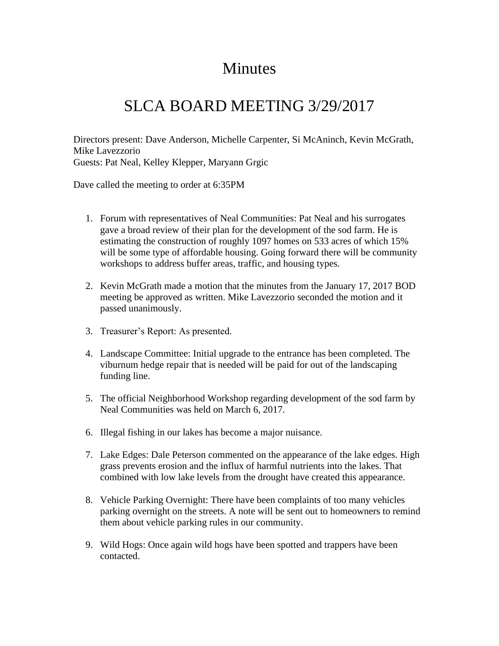## **Minutes**

## SLCA BOARD MEETING 3/29/2017

Directors present: Dave Anderson, Michelle Carpenter, Si McAninch, Kevin McGrath, Mike Lavezzorio Guests: Pat Neal, Kelley Klepper, Maryann Grgic

Dave called the meeting to order at 6:35PM

- 1. Forum with representatives of Neal Communities: Pat Neal and his surrogates gave a broad review of their plan for the development of the sod farm. He is estimating the construction of roughly 1097 homes on 533 acres of which 15% will be some type of affordable housing. Going forward there will be community workshops to address buffer areas, traffic, and housing types.
- 2. Kevin McGrath made a motion that the minutes from the January 17, 2017 BOD meeting be approved as written. Mike Lavezzorio seconded the motion and it passed unanimously.
- 3. Treasurer's Report: As presented.
- 4. Landscape Committee: Initial upgrade to the entrance has been completed. The viburnum hedge repair that is needed will be paid for out of the landscaping funding line.
- 5. The official Neighborhood Workshop regarding development of the sod farm by Neal Communities was held on March 6, 2017.
- 6. Illegal fishing in our lakes has become a major nuisance.
- 7. Lake Edges: Dale Peterson commented on the appearance of the lake edges. High grass prevents erosion and the influx of harmful nutrients into the lakes. That combined with low lake levels from the drought have created this appearance.
- 8. Vehicle Parking Overnight: There have been complaints of too many vehicles parking overnight on the streets. A note will be sent out to homeowners to remind them about vehicle parking rules in our community.
- 9. Wild Hogs: Once again wild hogs have been spotted and trappers have been contacted.